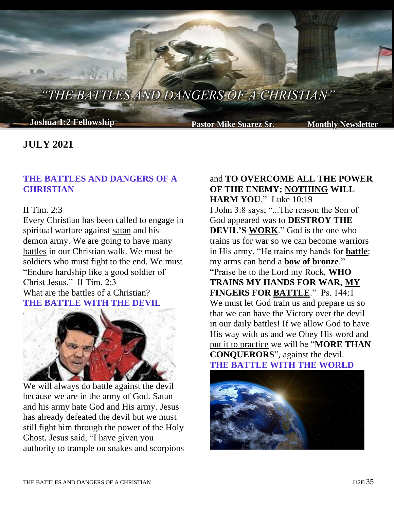*"THE BATTLES AND DANGERS OF A CHRISTIAN"*

**Joshua 1:2 Fellowship Pastor Mike Suarez Sr. Monthly Newsletter**

# **JULY 2021**

## **THE BATTLES AND DANGERS OF A CHRISTIAN**

### II Tim. 2:3

Every Christian has been called to engage in spiritual warfare against satan and his demon army. We are going to have many battles in our Christian walk. We must be soldiers who must fight to the end. We must "Endure hardship like a good soldier of Christ Jesus." II Tim. 2:3 What are the battles of a Christian? **THE BATTLE WITH THE DEVIL**



We will always do battle against the devil because we are in the army of God. Satan and his army hate God and His army. Jesus has already defeated the devil but we must still fight him through the power of the Holy Ghost. Jesus said, "I have given you authority to trample on snakes and scorpions

and **TO OVERCOME ALL THE POWER OF THE ENEMY; NOTHING WILL HARM YOU**." Luke 10:19 I John 3:8 says; "...The reason the Son of God appeared was to **DESTROY THE DEVIL'S WORK**." God is the one who trains us for war so we can become warriors in His army. "He trains my hands for **battle**; my arms can bend a **bow of bronze**." "Praise be to the Lord my Rock, **WHO TRAINS MY HANDS FOR WAR, MY FINGERS FOR BATTLE**." Ps. 144:1 We must let God train us and prepare us so that we can have the Victory over the devil in our daily battles! If we allow God to have His way with us and we Obey His word and put it to practice we will be "**MORE THAN CONQUERORS**", against the devil. **THE BATTLE WITH THE WORLD**

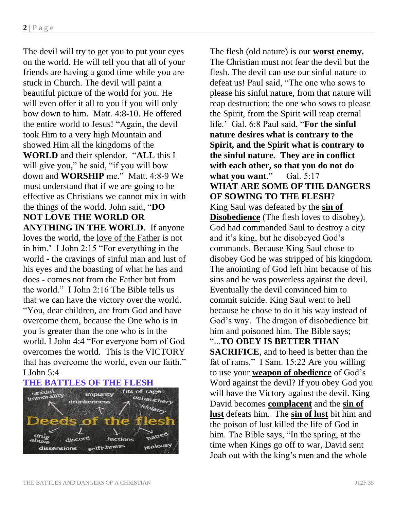The devil will try to get you to put your eyes on the world. He will tell you that all of your friends are having a good time while you are stuck in Church. The devil will paint a beautiful picture of the world for you. He will even offer it all to you if you will only bow down to him. Matt. 4:8-10. He offered the entire world to Jesus! "Again, the devil took Him to a very high Mountain and showed Him all the kingdoms of the **WORLD** and their splendor. "**ALL** this I will give you," he said, "if you will bow down and **WORSHIP** me." Matt. 4:8-9 We must understand that if we are going to be effective as Christians we cannot mix in with the things of the world. John said, "**DO NOT LOVE THE WORLD OR ANYTHING IN THE WORLD**. If anyone loves the world, the love of the Father is not in him.' I John 2:15 "For everything in the world - the cravings of sinful man and lust of his eyes and the boasting of what he has and does - comes not from the Father but from the world." I John 2:16 The Bible tells us that we can have the victory over the world. "You, dear children, are from God and have overcome them, because the One who is in you is greater than the one who is in the world. I John 4:4 "For everyone born of God overcomes the world. This is the VICTORY that has overcome the world, even our faith." I John 5:4



The flesh (old nature) is our **worst enemy.** The Christian must not fear the devil but the flesh. The devil can use our sinful nature to defeat us! Paul said, "The one who sows to please his sinful nature, from that nature will reap destruction; the one who sows to please the Spirit, from the Spirit will reap eternal life.' Gal. 6:8 Paul said, "**For the sinful nature desires what is contrary to the Spirit, and the Spirit what is contrary to the sinful nature. They are in conflict with each other, so that you do not do**  what you want." Gal. 5:17 **WHAT ARE SOME OF THE DANGERS OF SOWING TO THE FLESH**? King Saul was defeated by the **sin of Disobedience** (The flesh loves to disobey). God had commanded Saul to destroy a city and it's king, but he disobeyed God's commands. Because King Saul chose to disobey God he was stripped of his kingdom. The anointing of God left him because of his sins and he was powerless against the devil. Eventually the devil convinced him to commit suicide. King Saul went to hell because he chose to do it his way instead of God's way. The dragon of disobedience bit him and poisoned him. The Bible says; "...**TO OBEY IS BETTER THAN SACRIFICE**, and to heed is better than the fat of rams." I Sam. 15:22 Are you willing to use your **weapon of obedience** of God's Word against the devil? If you obey God you will have the Victory against the devil. King David becomes **complacent** and the **sin of lust** defeats him. The **sin of lust** bit him and the poison of lust killed the life of God in him. The Bible says, "In the spring, at the time when Kings go off to war, David sent Joab out with the king's men and the whole